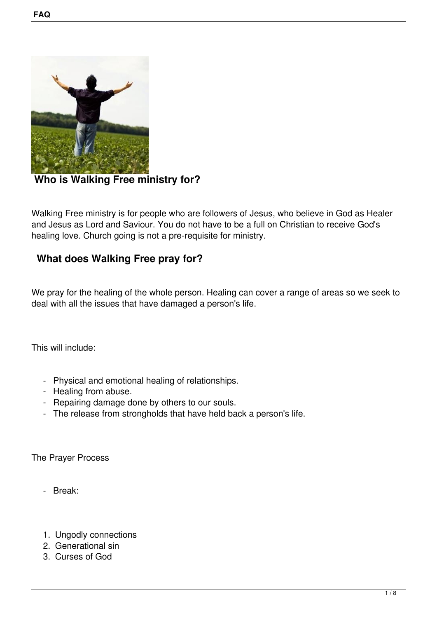

 **Who is Walking Free ministry for?**

Walking Free ministry is for people who are followers of Jesus, who believe in God as Healer and Jesus as Lord and Saviour. You do not have to be a full on Christian to receive God's healing love. Church going is not a pre-requisite for ministry.

# **What does Walking Free pray for?**

We pray for the healing of the whole person. Healing can cover a range of areas so we seek to deal with all the issues that have damaged a person's life.

This will include:

- Physical and emotional healing of relationships.
- Healing from abuse.
- Repairing damage done by others to our souls.
- The release from strongholds that have held back a person's life.

The Prayer Process

- Break:
- 1. Ungodly connections
- 2. Generational sin
- 3. Curses of God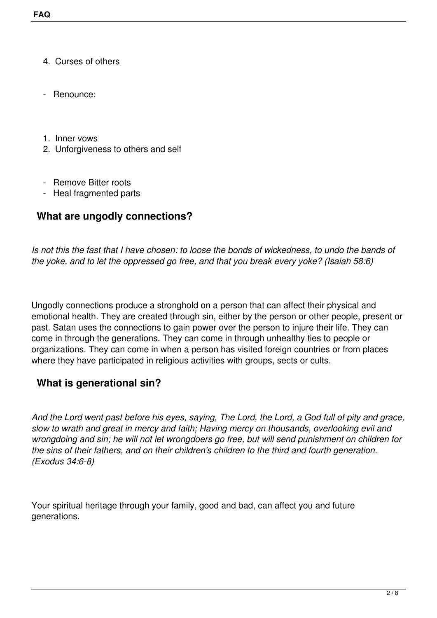- 4. Curses of others
- Renounce:
- 1. Inner vows
- 2. Unforgiveness to others and self
- Remove Bitter roots
- Heal fragmented parts

# **What are ungodly connections?**

*Is not this the fast that I have chosen: to loose the bonds of wickedness, to undo the bands of the yoke, and to let the oppressed go free, and that you break every yoke? (Isaiah 58:6)*

Ungodly connections produce a stronghold on a person that can affect their physical and emotional health. They are created through sin, either by the person or other people, present or past. Satan uses the connections to gain power over the person to injure their life. They can come in through the generations. They can come in through unhealthy ties to people or organizations. They can come in when a person has visited foreign countries or from places where they have participated in religious activities with groups, sects or cults.

# **What is generational sin?**

*And the Lord went past before his eyes, saying, The Lord, the Lord, a God full of pity and grace, slow to wrath and great in mercy and faith; Having mercy on thousands, overlooking evil and wrongdoing and sin; he will not let wrongdoers go free, but will send punishment on children for the sins of their fathers, and on their children's children to the third and fourth generation. (Exodus 34:6-8)*

Your spiritual heritage through your family, good and bad, can affect you and future generations.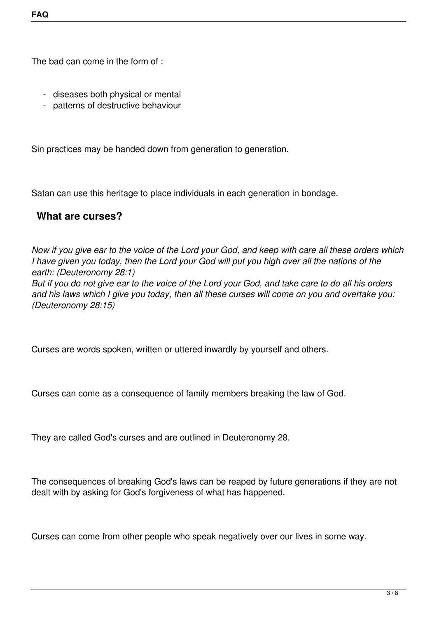The bad can come in the form of :

- diseases both physical or mental
- patterns of destructive behaviour

Sin practices may be handed down from generation to generation.

Satan can use this heritage to place individuals in each generation in bondage.

# **What are curses?**

*Now if you give ear to the voice of the Lord your God, and keep with care all these orders which I have given you today, then the Lord your God will put you high over all the nations of the earth: (Deuteronomy 28:1)*

*But if you do not give ear to the voice of the Lord your God, and take care to do all his orders and his laws which I give you today, then all these curses will come on you and overtake you: (Deuteronomy 28:15)*

Curses are words spoken, written or uttered inwardly by yourself and others.

Curses can come as a consequence of family members breaking the law of God.

They are called God's curses and are outlined in Deuteronomy 28.

The consequences of breaking God's laws can be reaped by future generations if they are not dealt with by asking for God's forgiveness of what has happened.

Curses can come from other people who speak negatively over our lives in some way.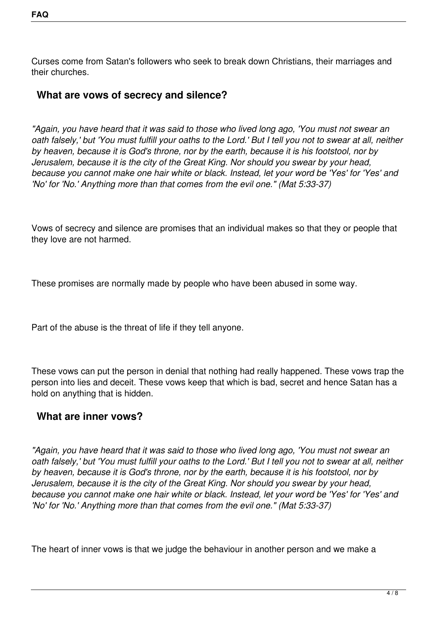Curses come from Satan's followers who seek to break down Christians, their marriages and their churches.

### **What are vows of secrecy and silence?**

*"Again, you have heard that it was said to those who lived long ago, 'You must not swear an oath falsely,' but 'You must fulfill your oaths to the Lord.' But I tell you not to swear at all, neither by heaven, because it is God's throne, nor by the earth, because it is his footstool, nor by Jerusalem, because it is the city of the Great King. Nor should you swear by your head, because you cannot make one hair white or black. Instead, let your word be 'Yes' for 'Yes' and 'No' for 'No.' Anything more than that comes from the evil one." (Mat 5:33-37)*

Vows of secrecy and silence are promises that an individual makes so that they or people that they love are not harmed.

These promises are normally made by people who have been abused in some way.

Part of the abuse is the threat of life if they tell anyone.

These vows can put the person in denial that nothing had really happened. These vows trap the person into lies and deceit. These vows keep that which is bad, secret and hence Satan has a hold on anything that is hidden.

### **What are inner vows?**

*"Again, you have heard that it was said to those who lived long ago, 'You must not swear an oath falsely,' but 'You must fulfill your oaths to the Lord.' But I tell you not to swear at all, neither by heaven, because it is God's throne, nor by the earth, because it is his footstool, nor by Jerusalem, because it is the city of the Great King. Nor should you swear by your head, because you cannot make one hair white or black. Instead, let your word be 'Yes' for 'Yes' and 'No' for 'No.' Anything more than that comes from the evil one." (Mat 5:33-37)*

The heart of inner vows is that we judge the behaviour in another person and we make a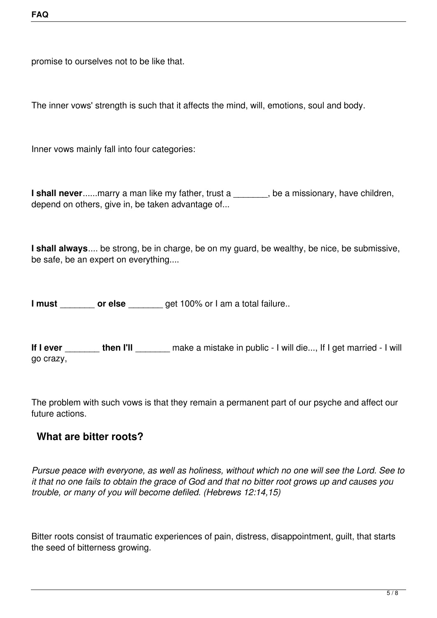promise to ourselves not to be like that.

The inner vows' strength is such that it affects the mind, will, emotions, soul and body.

Inner vows mainly fall into four categories:

**I shall never......marry a man like my father, trust a \_\_\_\_\_\_\_, be a missionary, have children,** depend on others, give in, be taken advantage of...

**I shall always**.... be strong, be in charge, be on my guard, be wealthy, be nice, be submissive, be safe, be an expert on everything....

**I must cor else** get 100% or I am a total failure..

**If I ever** \_\_\_\_\_\_\_ **then I'll** \_\_\_\_\_\_\_ make a mistake in public - I will die..., If I get married - I will go crazy,

The problem with such vows is that they remain a permanent part of our psyche and affect our future actions.

### **What are bitter roots?**

*Pursue peace with everyone, as well as holiness, without which no one will see the Lord. See to it that no one fails to obtain the grace of God and that no bitter root grows up and causes you trouble, or many of you will become defiled. (Hebrews 12:14,15)*

Bitter roots consist of traumatic experiences of pain, distress, disappointment, guilt, that starts the seed of bitterness growing.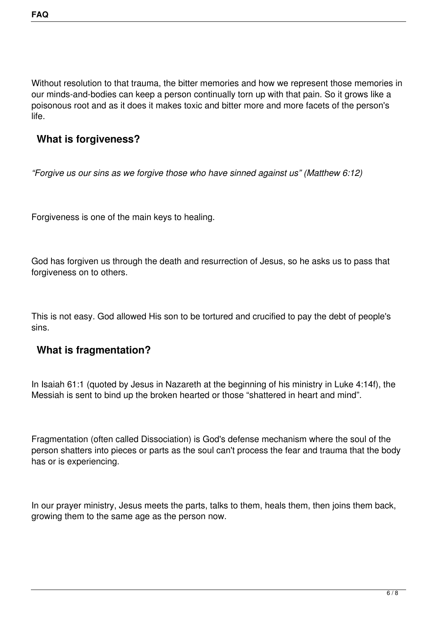Without resolution to that trauma, the bitter memories and how we represent those memories in our minds-and-bodies can keep a person continually torn up with that pain. So it grows like a poisonous root and as it does it makes toxic and bitter more and more facets of the person's life.

### **What is forgiveness?**

*"Forgive us our sins as we forgive those who have sinned against us" (Matthew 6:12)*

Forgiveness is one of the main keys to healing.

God has forgiven us through the death and resurrection of Jesus, so he asks us to pass that forgiveness on to others.

This is not easy. God allowed His son to be tortured and crucified to pay the debt of people's sins.

### **What is fragmentation?**

In Isaiah 61:1 (quoted by Jesus in Nazareth at the beginning of his ministry in Luke 4:14f), the Messiah is sent to bind up the broken hearted or those "shattered in heart and mind".

Fragmentation (often called Dissociation) is God's defense mechanism where the soul of the person shatters into pieces or parts as the soul can't process the fear and trauma that the body has or is experiencing.

In our prayer ministry, Jesus meets the parts, talks to them, heals them, then joins them back, growing them to the same age as the person now.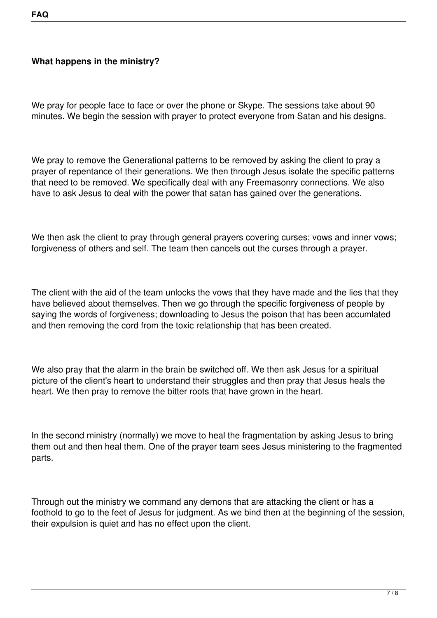#### **What happens in the ministry?**

We pray for people face to face or over the phone or Skype. The sessions take about 90 minutes. We begin the session with prayer to protect everyone from Satan and his designs.

We pray to remove the Generational patterns to be removed by asking the client to pray a prayer of repentance of their generations. We then through Jesus isolate the specific patterns that need to be removed. We specifically deal with any Freemasonry connections. We also have to ask Jesus to deal with the power that satan has gained over the generations.

We then ask the client to pray through general prayers covering curses; vows and inner vows; forgiveness of others and self. The team then cancels out the curses through a prayer.

The client with the aid of the team unlocks the vows that they have made and the lies that they have believed about themselves. Then we go through the specific forgiveness of people by saying the words of forgiveness; downloading to Jesus the poison that has been accumlated and then removing the cord from the toxic relationship that has been created.

We also pray that the alarm in the brain be switched off. We then ask Jesus for a spiritual picture of the client's heart to understand their struggles and then pray that Jesus heals the heart. We then pray to remove the bitter roots that have grown in the heart.

In the second ministry (normally) we move to heal the fragmentation by asking Jesus to bring them out and then heal them. One of the prayer team sees Jesus ministering to the fragmented parts.

Through out the ministry we command any demons that are attacking the client or has a foothold to go to the feet of Jesus for judgment. As we bind then at the beginning of the session, their expulsion is quiet and has no effect upon the client.